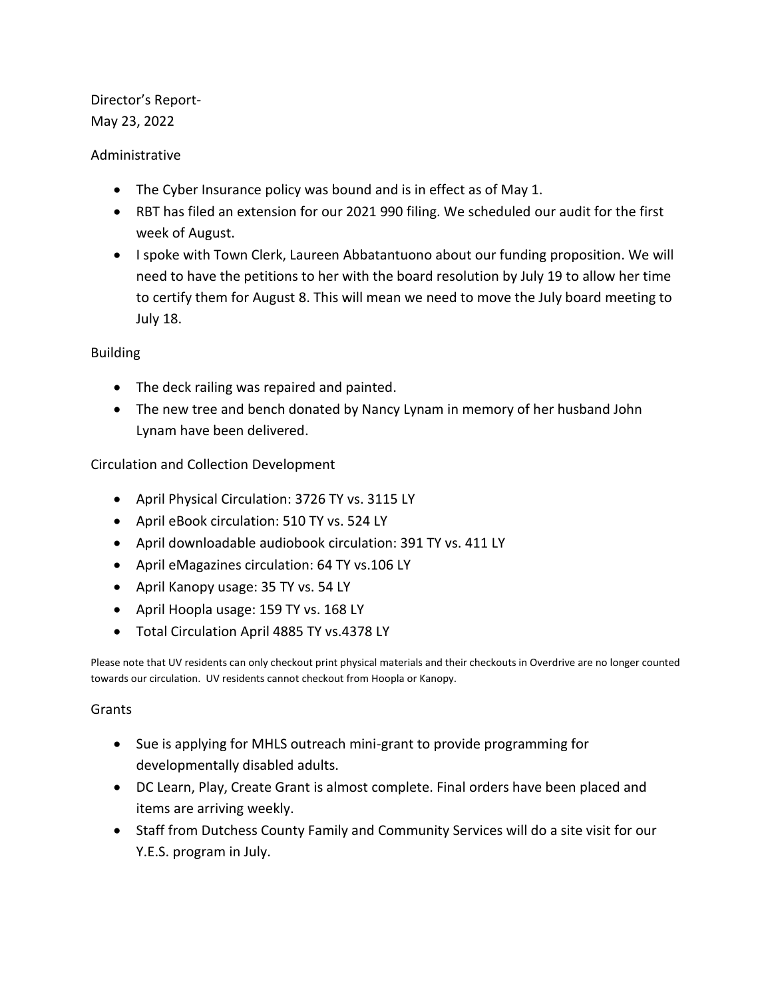Director's Report-May 23, 2022

## Administrative

- The Cyber Insurance policy was bound and is in effect as of May 1.
- RBT has filed an extension for our 2021 990 filing. We scheduled our audit for the first week of August.
- I spoke with Town Clerk, Laureen Abbatantuono about our funding proposition. We will need to have the petitions to her with the board resolution by July 19 to allow her time to certify them for August 8. This will mean we need to move the July board meeting to July 18.

## Building

- The deck railing was repaired and painted.
- The new tree and bench donated by Nancy Lynam in memory of her husband John Lynam have been delivered.

## Circulation and Collection Development

- April Physical Circulation: 3726 TY vs. 3115 LY
- April eBook circulation: 510 TY vs. 524 LY
- April downloadable audiobook circulation: 391 TY vs. 411 LY
- April eMagazines circulation: 64 TY vs.106 LY
- April Kanopy usage: 35 TY vs. 54 LY
- April Hoopla usage: 159 TY vs. 168 LY
- Total Circulation April 4885 TY vs.4378 LY

Please note that UV residents can only checkout print physical materials and their checkouts in Overdrive are no longer counted towards our circulation. UV residents cannot checkout from Hoopla or Kanopy.

## **Grants**

- Sue is applying for MHLS outreach mini-grant to provide programming for developmentally disabled adults.
- DC Learn, Play, Create Grant is almost complete. Final orders have been placed and items are arriving weekly.
- Staff from Dutchess County Family and Community Services will do a site visit for our Y.E.S. program in July.